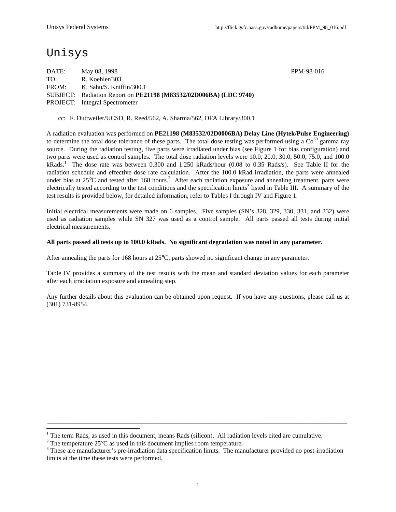# Unisys

-

DATE: May 08, 1998 PPM-98-016 TO: R. Koehler/303 FROM: K. Sahu/S. Kniffin/300.1 SUBJECT: Radiation Report on **PE21198 (M83532/02D006BA) (LDC 9740)** PROJECT: Integral Spectrometer

cc: F. Duttweiler/UCSD, R. Reed/562, A. Sharma/562, OFA Library/300.1

A radiation evaluation was performed on **PE21198 (M83532/02D0006BA) Delay Line (Hytek/Pulse Engineering)** to determine the total dose tolerance of these parts. The total dose testing was performed using a  $\text{Co}^{60}$  gamma ray source. During the radiation testing, five parts were irradiated under bias (see Figure 1 for bias configuration) and two parts were used as control samples. The total dose radiation levels were 10.0, 20.0, 30.0, 50.0, 75.0, and 100.0 kRads.<sup>1</sup> The dose rate was between 0.300 and 1.250 kRads/hour (0.08 to 0.35 Rads/s). See Table II for the radiation schedule and effective dose rate calculation. After the 100.0 kRad irradiation, the parts were annealed under bias at  $25^{\circ}$ C and tested after 168 hours.<sup>2</sup> After each radiation exposure and annealing treatment, parts were electrically tested according to the test conditions and the specification limits<sup>3</sup> listed in Table III. A summary of the test results is provided below, for detailed information, refer to Tables I through IV and Figure 1.

Initial electrical measurements were made on 6 samples. Five samples (SN's 328, 329, 330, 331, and 332) were used as radiation samples while SN 327 was used as a control sample. All parts passed all tests during initial electrical measurements.

#### **All parts passed all tests up to 100.0 kRads. No significant degradation was noted in any parameter.**

After annealing the parts for 168 hours at 25°C, parts showed no significant change in any parameter.

Table IV provides a summary of the test results with the mean and standard deviation values for each parameter after each irradiation exposure and annealing step.

Any further details about this evaluation can be obtained upon request. If you have any questions, please call us at (301) 731-8954.

\_\_\_\_\_\_\_\_\_\_\_\_\_\_\_\_\_\_\_\_\_\_\_\_\_\_\_\_\_\_\_\_\_\_\_\_\_\_\_\_\_\_\_\_\_\_\_\_\_\_\_\_\_\_\_\_\_\_\_\_\_\_\_\_\_\_\_\_\_\_\_\_\_\_\_\_\_\_\_\_\_\_\_\_\_\_\_\_\_\_\_\_

<sup>1</sup> The term Rads, as used in this document, means Rads (silicon). All radiation levels cited are cumulative.

<sup>&</sup>lt;sup>2</sup> The temperature 25 $\rm{°C}$  as used in this document implies room temperature.

 $3$  These are manufacturer's pre-irradiation data specification limits. The manufacturer provided no post-irradiation limits at the time these tests were performed.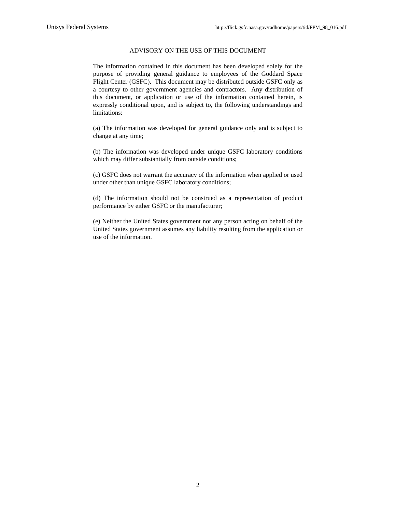#### ADVISORY ON THE USE OF THIS DOCUMENT

The information contained in this document has been developed solely for the purpose of providing general guidance to employees of the Goddard Space Flight Center (GSFC). This document may be distributed outside GSFC only as a courtesy to other government agencies and contractors. Any distribution of this document, or application or use of the information contained herein, is expressly conditional upon, and is subject to, the following understandings and limitations:

(a) The information was developed for general guidance only and is subject to change at any time;

(b) The information was developed under unique GSFC laboratory conditions which may differ substantially from outside conditions;

(c) GSFC does not warrant the accuracy of the information when applied or used under other than unique GSFC laboratory conditions;

(d) The information should not be construed as a representation of product performance by either GSFC or the manufacturer;

(e) Neither the United States government nor any person acting on behalf of the United States government assumes any liability resulting from the application or use of the information.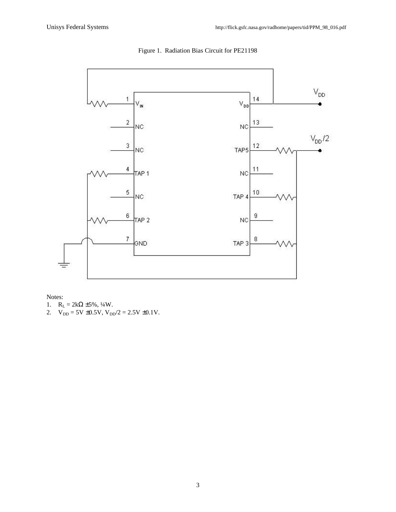

Figure 1. Radiation Bias Circuit for PE21198

Notes:

1.  $R_L = 2k\Omega \pm 5\%, \frac{1}{4}W$ .

2.  $V_{DD} = 5V \pm 0.5V$ ,  $V_{DD}/2 = 2.5V \pm 0.1V$ .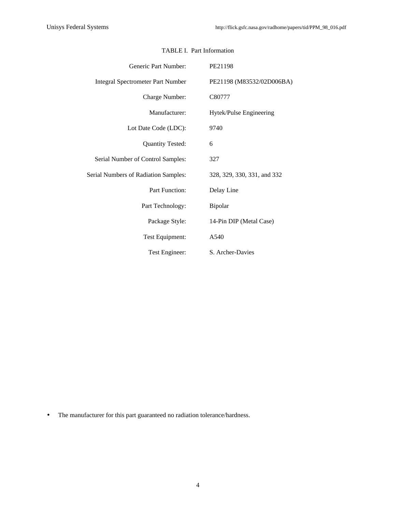| Generic Part Number:                     | PE21198                     |  |  |  |  |  |  |
|------------------------------------------|-----------------------------|--|--|--|--|--|--|
| <b>Integral Spectrometer Part Number</b> | PE21198 (M83532/02D006BA)   |  |  |  |  |  |  |
| Charge Number:                           | C80777                      |  |  |  |  |  |  |
| Manufacturer:                            | Hytek/Pulse Engineering     |  |  |  |  |  |  |
| Lot Date Code (LDC):                     | 9740                        |  |  |  |  |  |  |
| <b>Quantity Tested:</b>                  | 6                           |  |  |  |  |  |  |
| Serial Number of Control Samples:        | 327                         |  |  |  |  |  |  |
| Serial Numbers of Radiation Samples:     | 328, 329, 330, 331, and 332 |  |  |  |  |  |  |
| Part Function:                           | Delay Line                  |  |  |  |  |  |  |
| Part Technology:                         | Bipolar                     |  |  |  |  |  |  |
| Package Style:                           | 14-Pin DIP (Metal Case)     |  |  |  |  |  |  |
| Test Equipment:                          | A540                        |  |  |  |  |  |  |
| Test Engineer:                           | S. Archer-Davies            |  |  |  |  |  |  |

# TABLE I. Part Information

• The manufacturer for this part guaranteed no radiation tolerance/hardness.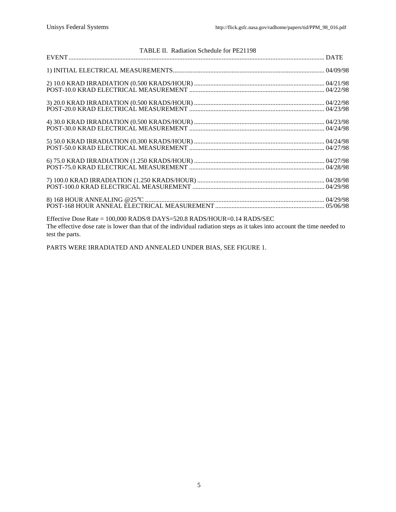| TABLE II. Radiation Schedule for PE21198                                  |  |
|---------------------------------------------------------------------------|--|
|                                                                           |  |
|                                                                           |  |
|                                                                           |  |
|                                                                           |  |
|                                                                           |  |
|                                                                           |  |
|                                                                           |  |
|                                                                           |  |
| Effective Dose Rate = $100,000$ RADS/8 DAYS=520.8 RADS/HOUR=0.14 RADS/SEC |  |

The effective dose rate is lower than that of the individual radiation steps as it takes into account the time needed to test the parts.

PARTS WERE IRRADIATED AND ANNEALED UNDER BIAS, SEE FIGURE 1.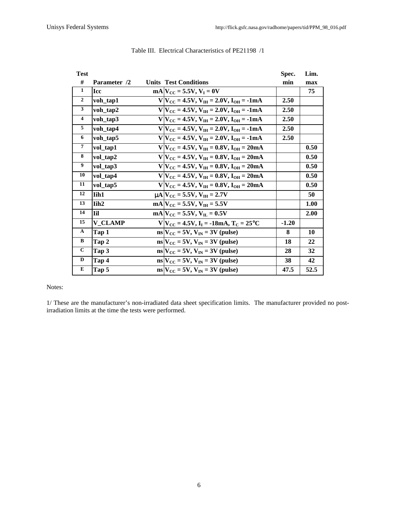| Test                    |                  |                                                                    | Spec.   | Lim. |
|-------------------------|------------------|--------------------------------------------------------------------|---------|------|
| #                       | Parameter /2     | <b>Units Test Conditions</b>                                       | min     | max  |
| $\mathbf{1}$            | <b>Icc</b>       | $mA$ $V_{CC}$ = 5.5V, $V_I$ = 0V                                   |         | 75   |
| $\overline{2}$          | voh_tap1         | $V V_{CC} = 4.5V, V_{TH} = 2.0V, I_{OH} = -1mA$                    | 2.50    |      |
| $\mathbf{3}$            | voh_tap2         | $V V_{CC} = 4.5V, V_{IH} = 2.0V, I_{OH} = -1mA$                    | 2.50    |      |
| $\overline{\mathbf{4}}$ | voh_tap3         | $V V_{CC} = 4.5V, V_{IH} = 2.0V, I_{OH} = -1mA$                    | 2.50    |      |
| 5                       | voh_tap4         | $V V_{CC} = 4.5V$ , $V_{IH} = 2.0V$ , $I_{OH} = -1mA$              | 2.50    |      |
| 6                       | voh_tap5         | $V V_{CC} = 4.5V, V_{IH} = 2.0V, I_{OH} = -1mA$                    | 2.50    |      |
| $\overline{7}$          | vol_tap1         | $V/V_{CC} = 4.5V$ , $V_{TH} = 0.8V$ , $I_{OH} = 20mA$              |         | 0.50 |
| 8                       | vol_tap2         | $V V_{CC} = 4.5V, V_{IH} = 0.8V, I_{OH} = 20mA$                    |         | 0.50 |
| 9                       | vol_tap3         | $V V_{CC} = 4.5V, V_{IH} = 0.8V, I_{OH} = 20mA$                    |         | 0.50 |
| 10                      | vol_tap4         | $V V_{CC} = 4.5V, V_{IH} = 0.8V, I_{OH} = 20mA$                    |         | 0.50 |
| 11                      | vol_tap5         | $V V_{CC} = 4.5V, V_{IH} = 0.8V, I_{OH} = 20mA$                    |         | 0.50 |
| 12                      | <b>Tih1</b>      | $\mu$ A $V_{\text{CC}}$ = 5.5V, $V_{\text{IH}}$ = 2.7V             |         | 50   |
| 13                      | Tih <sub>2</sub> | $mA V_{CC} = 5.5V, V_{IH} = 5.5V$                                  |         | 1.00 |
| 14                      | l Til            | mA $V_{CC}$ = 5.5V, $V_{H}$ = 0.5V                                 |         | 2.00 |
| 15                      | <b>V CLAMP</b>   | $V V_{CC} = 4.5V, I_I = -18mA, T_C = 25°C$                         | $-1.20$ |      |
| $\mathbf{A}$            | Tap 1            | $\text{ns} V_{\text{CC}} = 5V, V_{\text{IN}} = 3V \text{ (pulse)}$ | 8       | 10   |
| B                       | Tap 2            | $\text{ns} V_{\text{CC}} = 5V, V_{\text{IN}} = 3V \text{ (pulse)}$ | 18      | 22   |
| $\mathbf{C}$            | Tap 3            | $\text{ns} V_{CC} = 5V$ , $V_{IN} = 3V$ (pulse)                    | 28      | 32   |
| D                       | Tap 4            | $\text{ns} V_{\text{CC}} = 5V, V_{\text{IN}} = 3V \text{ (pulse)}$ | 38      | 42   |
| E                       | Tap 5            | $\text{ns} V_{\text{CC}} = 5V$ , $V_{\text{IN}} = 3V$ (pulse)      | 47.5    | 52.5 |

## Table III. Electrical Characteristics of PE21198 /1

#### Notes:

1/ These are the manufacturer's non-irradiated data sheet specification limits. The manufacturer provided no postirradiation limits at the time the tests were performed.